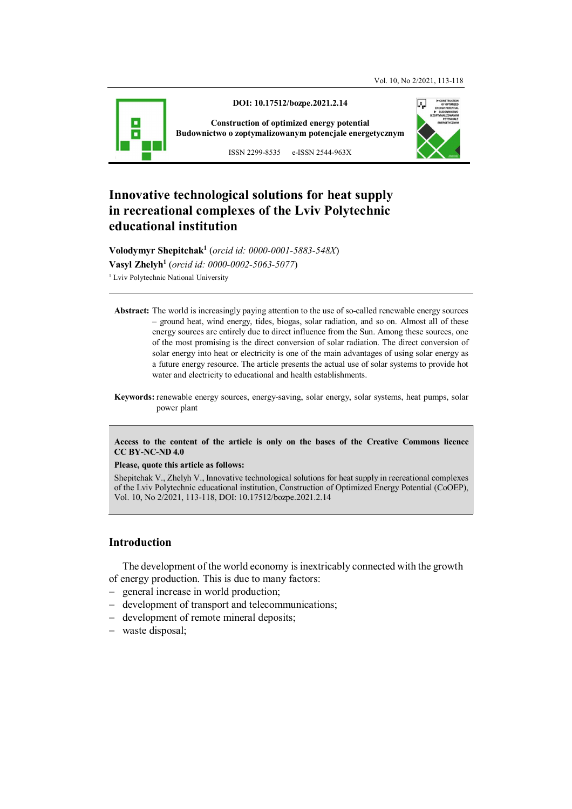

**DOI: 10.17512/bozpe.2021.2.14** 

**Construction of optimized energy potential Budownictwo o zoptymalizowanym potencjale energetycznym**



ISSN 2299-8535 e-ISSN 2544-963X

# **Innovative technological solutions for heat supply in recreational complexes of the Lviv Polytechnic educational institution**

**Volodymyr Shepitchak<sup>1</sup>** (*orcid id: 0000-0001-5883-548X*) **Vasyl Zhelyh<sup>1</sup>** (*orcid id: 0000-0002-5063-5077*) <sup>1</sup> Lviv Polytechnic National University

- **Abstract:** The world is increasingly paying attention to the use of so-called renewable energy sources – ground heat, wind energy, tides, biogas, solar radiation, and so on. Almost all of these energy sources are entirely due to direct influence from the Sun. Among these sources, one of the most promising is the direct conversion of solar radiation. The direct conversion of solar energy into heat or electricity is one of the main advantages of using solar energy as a future energy resource. The article presents the actual use of solar systems to provide hot water and electricity to educational and health establishments.
- **Keywords:** renewable energy sources, energy-saving, solar energy, solar systems, heat pumps, solar power plant

#### **Access to the content of the article is only on the bases of the Creative Commons licence CC BY-NC-ND 4.0**

#### **Please, quote this article as follows:**

Shepitchak V., Zhelyh V., Innovative technological solutions for heat supply in recreational complexes of the Lviv Polytechnic educational institution, Construction of Optimized Energy Potential (CoOEP), Vol. 10, No 2/2021, 113-118, DOI: 10.17512/bozpe.2021.2.14

## **Introduction**

The development of the world economy is inextricably connected with the growth of energy production. This is due to many factors:

- general increase in world production;
- development of transport and telecommunications;
- development of remote mineral deposits;
- waste disposal;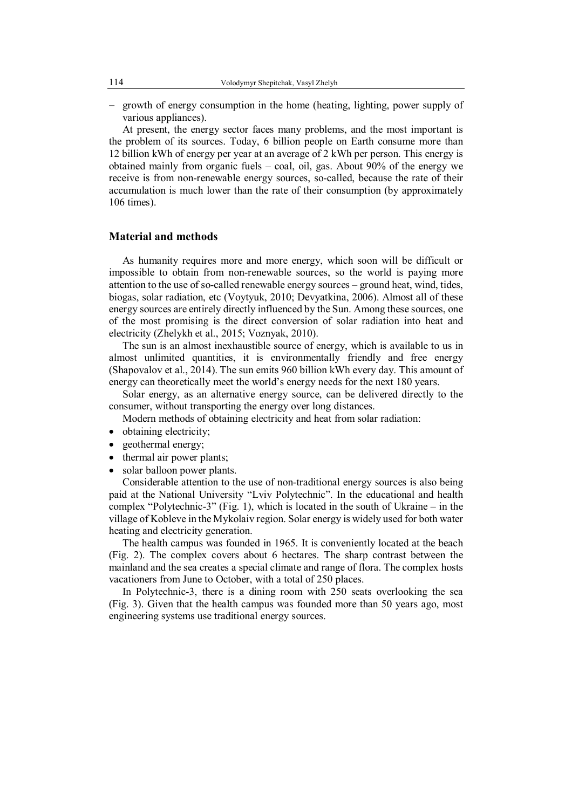- growth of energy consumption in the home (heating, lighting, power supply of various appliances).

At present, the energy sector faces many problems, and the most important is the problem of its sources. Today, 6 billion people on Earth consume more than 12 billion kWh of energy per year at an average of 2 kWh per person. This energy is obtained mainly from organic fuels – coal, oil, gas. About 90% of the energy we receive is from non-renewable energy sources, so-called, because the rate of their accumulation is much lower than the rate of their consumption (by approximately 106 times).

## **Material and methods**

As humanity requires more and more energy, which soon will be difficult or impossible to obtain from non-renewable sources, so the world is paying more attention to the use of so-called renewable energy sources – ground heat, wind, tides, biogas, solar radiation, etc (Voytyuk, 2010; Devyatkina, 2006). Almost all of these energy sources are entirely directly influenced by the Sun. Among these sources, one of the most promising is the direct conversion of solar radiation into heat and electricity (Zhelykh et al., 2015; Voznyak, 2010).

The sun is an almost inexhaustible source of energy, which is available to us in almost unlimited quantities, it is environmentally friendly and free energy (Shapovalov et al., 2014). The sun emits 960 billion kWh every day. This amount of energy can theoretically meet the world's energy needs for the next 180 years.

Solar energy, as an alternative energy source, can be delivered directly to the consumer, without transporting the energy over long distances.

Modern methods of obtaining electricity and heat from solar radiation:

- obtaining electricity;
- geothermal energy;
- thermal air power plants;
- solar balloon power plants.

Considerable attention to the use of non-traditional energy sources is also being paid at the National University "Lviv Polytechnic". In the educational and health complex "Polytechnic-3" (Fig. 1), which is located in the south of Ukraine – in the village of Kobleve in the Mykolaiv region. Solar energy is widely used for both water heating and electricity generation.

The health campus was founded in 1965. It is conveniently located at the beach (Fig. 2). The complex covers about 6 hectares. The sharp contrast between the mainland and the sea creates a special climate and range of flora. The complex hosts vacationers from June to October, with a total of 250 places.

In Polytechnic-3, there is a dining room with 250 seats overlooking the sea (Fig. 3). Given that the health campus was founded more than 50 years ago, most engineering systems use traditional energy sources.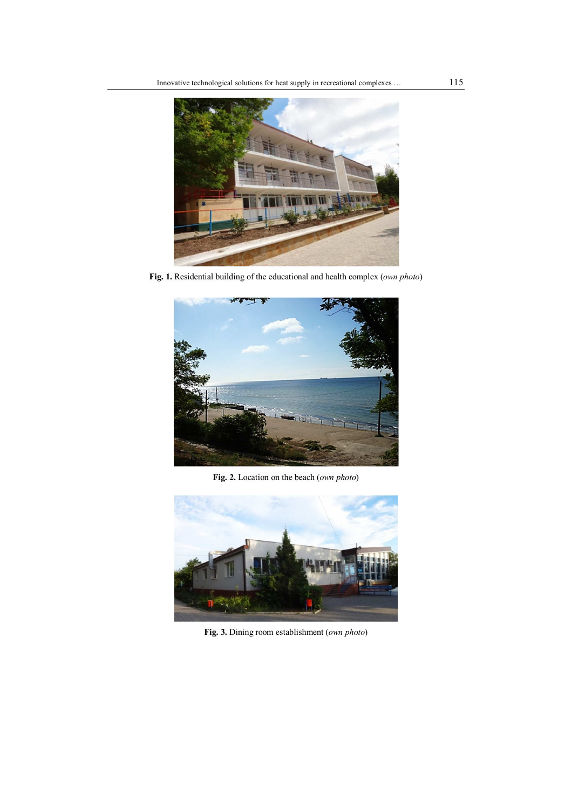

**Fig. 1.** Residential building of the educational and health complex (*own photo*)



**Fig. 2.** Location on the beach (*own photo*)



**Fig. 3.** Dining room establishment (*own photo*)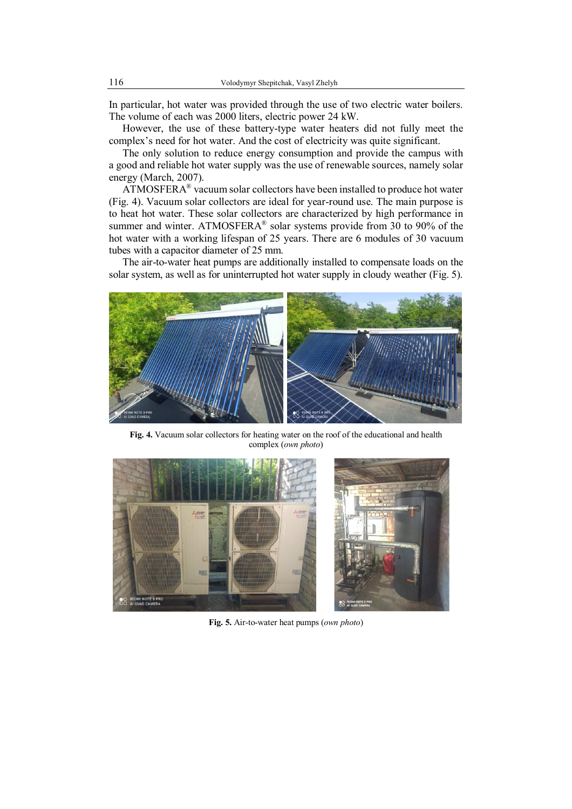In particular, hot water was provided through the use of two electric water boilers. The volume of each was 2000 liters, electric power 24 kW.

However, the use of these battery-type water heaters did not fully meet the complex's need for hot water. And the cost of electricity was quite significant.

The only solution to reduce energy consumption and provide the campus with a good and reliable hot water supply was the use of renewable sources, namely solar energy (March, 2007).

 $ATMOSFERA<sup>®</sup>$  vacuum solar collectors have been installed to produce hot water (Fig. 4). Vacuum solar collectors are ideal for year-round use. The main purpose is to heat hot water. These solar collectors are characterized by high performance in summer and winter. ATMOSFERA $^{\circ}$  solar systems provide from 30 to 90% of the hot water with a working lifespan of 25 years. There are 6 modules of 30 vacuum tubes with a capacitor diameter of 25 mm.

The air-to-water heat pumps are additionally installed to compensate loads on the solar system, as well as for uninterrupted hot water supply in cloudy weather (Fig. 5).



**Fig. 4.** Vacuum solar collectors for heating water on the roof of the educational and health complex (*own photo*)



**Fig. 5.** Air-to-water heat pumps (*own photo*)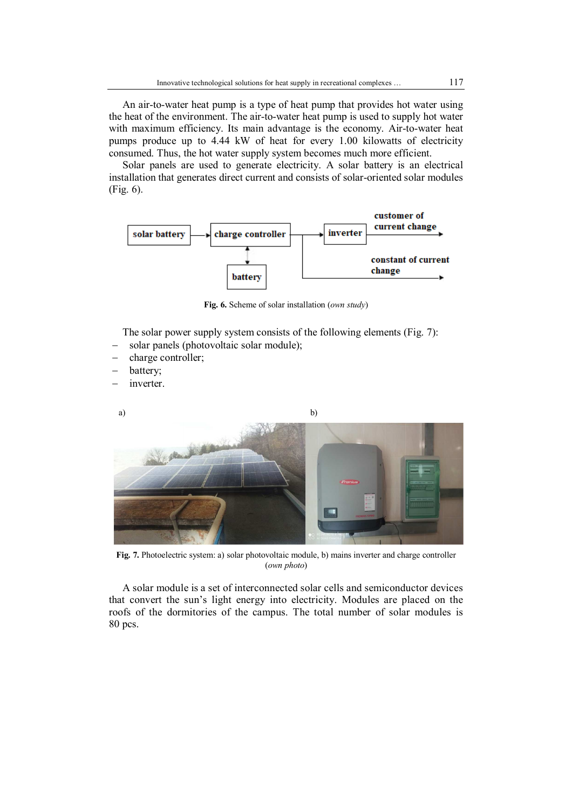An air-to-water heat pump is a type of heat pump that provides hot water using the heat of the environment. The air-to-water heat pump is used to supply hot water with maximum efficiency. Its main advantage is the economy. Air-to-water heat pumps produce up to 4.44 kW of heat for every 1.00 kilowatts of electricity consumed. Thus, the hot water supply system becomes much more efficient.

Solar panels are used to generate electricity. A solar battery is an electrical installation that generates direct current and consists of solar-oriented solar modules (Fig. 6).



**Fig. 6.** Scheme of solar installation (*own study*)

The solar power supply system consists of the following elements (Fig. 7):

- solar panels (photovoltaic solar module);
- charge controller;
- battery;
- inverter.





**Fig. 7.** Photoelectric system: a) solar photovoltaic module, b) mains inverter and charge controller (*own photo*)

A solar module is a set of interconnected solar cells and semiconductor devices that convert the sun's light energy into electricity. Modules are placed on the roofs of the dormitories of the campus. The total number of solar modules is 80 pcs.